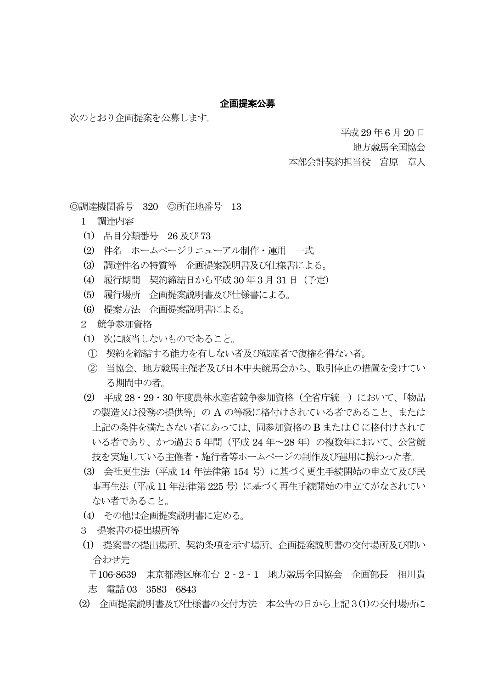## 企画提案公募

次のとおり企画提案を公募します。

平成 29 年6 月 20 日

地方競馬全国協会

本部会計契約担当役 宮原 章人

◎調達機関番号 320 ◎所在地番号 13

- 1 調達内容
- (1) 品目分類番号 26 及び 73
- (2) 件名 ホームページリニューアル制作・運用 一式
- (3) 調達件名の特質等 企画提案説明書及び仕様書による。
- (4) 履行期間 契約締結日から平成 30 年3 月 31 日(予定)
- (5) 履行場所 企画提案説明書及び仕様書による。
- (6) 提案方法 企画提案説明書による。
- 2 競争参加資格
- (1) 次に該当しないものであること。
- ① 契約を締結する能力を有しない者及び破産者で復権を得ない者。
- ② 当協会、地方競馬主催者及び日本中央競馬会から、取引停止の措置を受けてい る期間中の者。
- (2) 平成 28・29・30 年度農林水産省競争参加資格(全省庁統一)において、「物品 の製造又は役務の提供等」の A の等級に格付けされている者であること、または 上記の条件を満たさない者にあっては、同参加資格の B または C に格付けされて いる者であり、かつ過去 5 年間(平成 24 年~28 年)の複数年において、公営競 技を実施している主催者・施行者等ホームページの制作及び運用に携わった者。
- (3) 会社更生法(平成 14 年法律第 154 号)に基づく更生手続開始の申立て及び民 事再生法(平成 11 年法律第 225 号)に基づく再生手続開始の申立てがなされてい ない者であること。
- (4) その他は企画提案説明書に定める。
- 3 提案書の提出場所等
- (1) 提案書の提出場所、契約条項を示す場所、企画提案説明書の交付場所及び問い 合わせ先

 〒106-8639 東京都港区麻布台 2‐2‐1 地方競馬全国協会 企画部長 相川貴 志 電話 03‐3583‐6843

(2) 企画提案説明書及び仕様書の交付方法 本公告の日から上記3(1)の交付場所に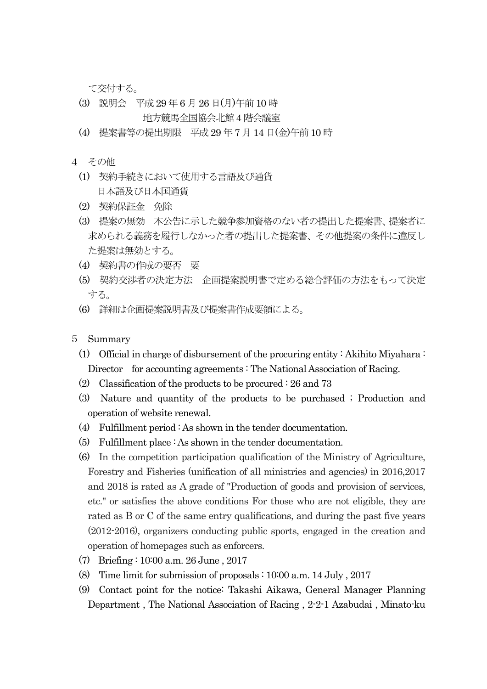て交付する。

- (3) 説明会 平成 29 年 6 月 26 日(月)午前 10 時 地方競馬全国協会北館4 階会議室
- (4) 提案書等の提出期限 平成29 年7 月 14 日(金)午前 10 時
- 4 その他
	- (1) 契約手続きにおいて使用する言語及び通貨 日本語及び日本国通貨
	- (2) 契約保証金 免除
	- (3) 提案の無効 本公告に示した競争参加資格のない者の提出した提案書、提案者に 求められる義務を履行しなかった者の提出した提案書、その他提案の条件に違反し た提案は無効とする。
	- (4) 契約書の作成の要否 要
	- (5) 契約交渉者の決定方法 企画提案説明書で定める総合評価の方法をもって決定 する。
	- (6) 詳細は企画提案説明書及び提案書作成要領による。

## 5 Summary

- (1) Official in charge of disbursement of the procuring entity : Akihito Miyahara : Director for accounting agreements : The National Association of Racing.
- (2) Classification of the products to be procured : 26 and 73
- (3) Nature and quantity of the products to be purchased ; Production and operation of website renewal.
- (4) Fulfillment period : As shown in the tender documentation.
- (5) Fulfillment place : As shown in the tender documentation.
- (6) In the competition participation qualification of the Ministry of Agriculture, Forestry and Fisheries (unification of all ministries and agencies) in 2016,2017 and 2018 is rated as A grade of "Production of goods and provision of services, etc." or satisfies the above conditions For those who are not eligible, they are rated as B or C of the same entry qualifications, and during the past five years (2012-2016), organizers conducting public sports, engaged in the creation and operation of homepages such as enforcers.
- (7) Briefing : 10:00 a.m. 26 June , 2017
- (8) Time limit for submission of proposals : 10:00 a.m. 14 July , 2017
- (9) Contact point for the notice: Takashi Aikawa, General Manager Planning Department , The National Association of Racing , 2-2-1 Azabudai , Minato-ku